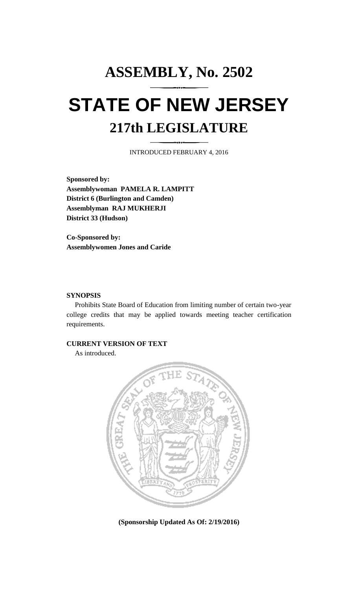## **ASSEMBLY, No. 2502 STATE OF NEW JERSEY 217th LEGISLATURE**

INTRODUCED FEBRUARY 4, 2016

**Sponsored by: Assemblywoman PAMELA R. LAMPITT District 6 (Burlington and Camden) Assemblyman RAJ MUKHERJI District 33 (Hudson)**

**Co-Sponsored by: Assemblywomen Jones and Caride**

## **SYNOPSIS**

Prohibits State Board of Education from limiting number of certain two-year college credits that may be applied towards meeting teacher certification requirements.

## **CURRENT VERSION OF TEXT**

As introduced.



**(Sponsorship Updated As Of: 2/19/2016)**